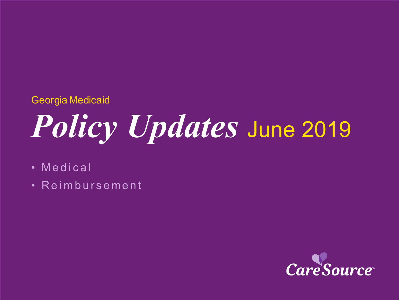### Georgia Medicaid

# *Policy Updates* June 2019

- Medical
- Reimbursement

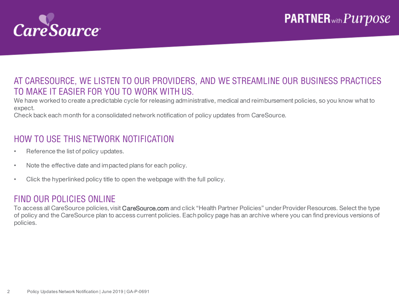

#### AT CARESOURCE, WE LISTEN TO OUR PROVIDERS, AND WE STREAMLINE OUR BUSINESS PRACTICES TO MAKE IT EASIER FOR YOU TO WORK WITH US.

We have worked to create a predictable cycle for releasing administrative, medical and reimbursement policies, so you know what to expect.

Check back each month for a consolidated network notification of policy updates from CareSource.

#### HOW TO USE THIS NETWORK NOTIFICATION

- Reference the list of policy updates.
- Note the effective date and impacted plans for each policy.
- Click the hyperlinked policy title to open the webpage with the full policy.

#### FIND OUR POLICIES ONLINE

To access all CareSource policies, visit CareSource.com and click "Health Partner Policies" under Provider Resources. Select the type of policy and the CareSource plan to access current policies. Each policy page has an archive where you can find previous versions of policies.